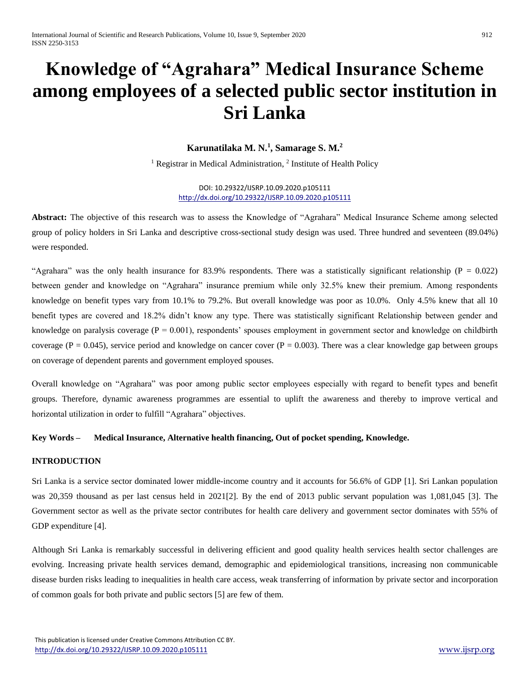# **Knowledge of "Agrahara" Medical Insurance Scheme among employees of a selected public sector institution in Sri Lanka**

# **Karunatilaka M. N.<sup>1</sup> , Samarage S. M.<sup>2</sup>**

<sup>1</sup> Registrar in Medical Administration, <sup>2</sup> Institute of Health Policy

DOI: 10.29322/IJSRP.10.09.2020.p105111 <http://dx.doi.org/10.29322/IJSRP.10.09.2020.p105111>

**Abstract:** The objective of this research was to assess the Knowledge of "Agrahara" Medical Insurance Scheme among selected group of policy holders in Sri Lanka and descriptive cross-sectional study design was used. Three hundred and seventeen (89.04%) were responded.

"Agrahara" was the only health insurance for 83.9% respondents. There was a statistically significant relationship ( $P = 0.022$ ) between gender and knowledge on "Agrahara" insurance premium while only 32.5% knew their premium. Among respondents knowledge on benefit types vary from 10.1% to 79.2%. But overall knowledge was poor as 10.0%. Only 4.5% knew that all 10 benefit types are covered and 18.2% didn't know any type. There was statistically significant Relationship between gender and knowledge on paralysis coverage  $(P = 0.001)$ , respondents' spouses employment in government sector and knowledge on childbirth coverage ( $P = 0.045$ ), service period and knowledge on cancer cover ( $P = 0.003$ ). There was a clear knowledge gap between groups on coverage of dependent parents and government employed spouses.

Overall knowledge on "Agrahara" was poor among public sector employees especially with regard to benefit types and benefit groups. Therefore, dynamic awareness programmes are essential to uplift the awareness and thereby to improve vertical and horizontal utilization in order to fulfill "Agrahara" objectives.

#### **Key Words – Medical Insurance, Alternative health financing, Out of pocket spending, Knowledge.**

### **INTRODUCTION**

Sri Lanka is a service sector dominated lower middle-income country and it accounts for 56.6% of GDP [1]. Sri Lankan population was 20,359 thousand as per last census held in 2021[2]. By the end of 2013 public servant population was 1,081,045 [3]. The Government sector as well as the private sector contributes for health care delivery and government sector dominates with 55% of GDP expenditure [4].

Although Sri Lanka is remarkably successful in delivering efficient and good quality health services health sector challenges are evolving. Increasing private health services demand, demographic and epidemiological transitions, increasing non communicable disease burden risks leading to inequalities in health care access, weak transferring of information by private sector and incorporation of common goals for both private and public sectors [5] are few of them.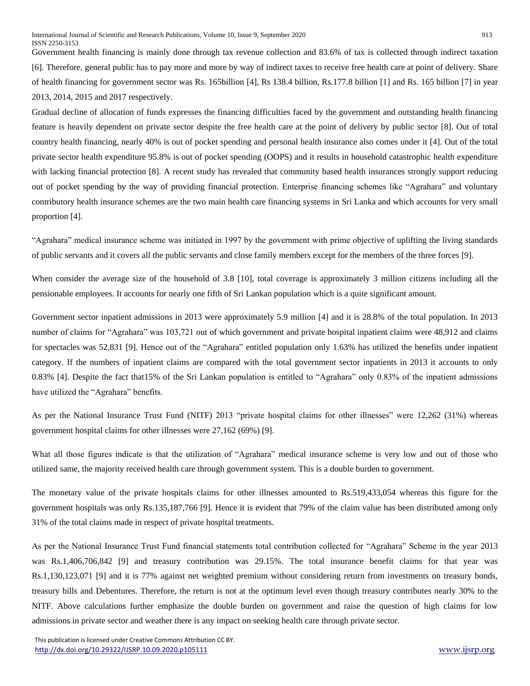Government health financing is mainly done through tax revenue collection and 83.6% of tax is collected through indirect taxation [6]. Therefore, general public has to pay more and more by way of indirect taxes to receive free health care at point of delivery. Share of health financing for government sector was Rs. 165billion [4], Rs 138.4 billion, Rs.177.8 billion [1] and Rs. 165 billion [7] in year 2013, 2014, 2015 and 2017 respectively.

Gradual decline of allocation of funds expresses the financing difficulties faced by the government and outstanding health financing feature is heavily dependent on private sector despite the free health care at the point of delivery by public sector [8]. Out of total country health financing, nearly 40% is out of pocket spending and personal health insurance also comes under it [4]. Out of the total private sector health expenditure 95.8% is out of pocket spending (OOPS) and it results in household catastrophic health expenditure with lacking financial protection [8]. A recent study has revealed that community based health insurances strongly support reducing out of pocket spending by the way of providing financial protection. Enterprise financing schemes like "Agrahara" and voluntary contributory health insurance schemes are the two main health care financing systems in Sri Lanka and which accounts for very small proportion [4].

"Agrahara" medical insurance scheme was initiated in 1997 by the government with prime objective of uplifting the living standards of public servants and it covers all the public servants and close family members except for the members of the three forces [9].

When consider the average size of the household of 3.8 [10], total coverage is approximately 3 million citizens including all the pensionable employees. It accounts for nearly one fifth of Sri Lankan population which is a quite significant amount.

Government sector inpatient admissions in 2013 were approximately 5.9 million [4] and it is 28.8% of the total population. In 2013 number of claims for "Agrahara" was 103,721 out of which government and private hospital inpatient claims were 48,912 and claims for spectacles was 52,831 [9]. Hence out of the "Agrahara" entitled population only 1.63% has utilized the benefits under inpatient category. If the numbers of inpatient claims are compared with the total government sector inpatients in 2013 it accounts to only 0.83% [4]. Despite the fact that15% of the Sri Lankan population is entitled to "Agrahara" only 0.83% of the inpatient admissions have utilized the "Agrahara" benefits.

As per the National Insurance Trust Fund (NITF) 2013 "private hospital claims for other illnesses" were 12,262 (31%) whereas government hospital claims for other illnesses were 27,162 (69%) [9].

What all those figures indicate is that the utilization of "Agrahara" medical insurance scheme is very low and out of those who utilized same, the majority received health care through government system. This is a double burden to government.

The monetary value of the private hospitals claims for other illnesses amounted to Rs.519,433,054 whereas this figure for the government hospitals was only Rs.135,187,766 [9]. Hence it is evident that 79% of the claim value has been distributed among only 31% of the total claims made in respect of private hospital treatments.

As per the National Insurance Trust Fund financial statements total contribution collected for "Agrahara" Scheme in the year 2013 was Rs.1,406,706,842 [9] and treasury contribution was 29.15%. The total insurance benefit claims for that year was Rs.1,130,123,071 [9] and it is 77% against net weighted premium without considering return from investments on treasury bonds, treasury bills and Debentures. Therefore, the return is not at the optimum level even though treasury contributes nearly 30% to the NITF. Above calculations further emphasize the double burden on government and raise the question of high claims for low admissions in private sector and weather there is any impact on seeking health care through private sector.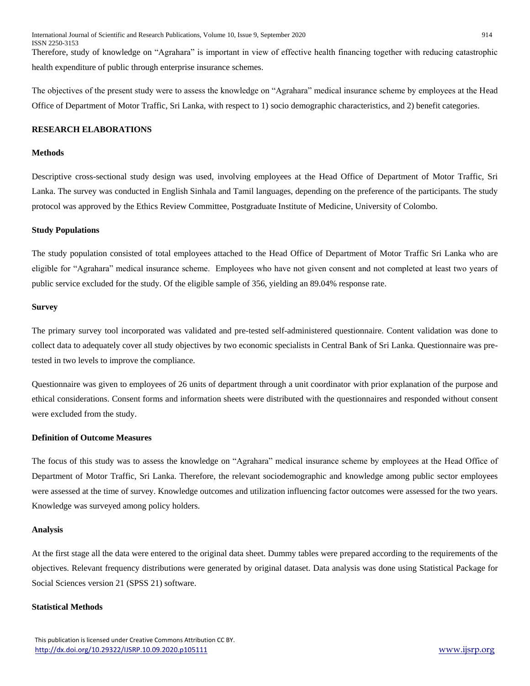Therefore, study of knowledge on "Agrahara" is important in view of effective health financing together with reducing catastrophic health expenditure of public through enterprise insurance schemes.

The objectives of the present study were to assess the knowledge on "Agrahara" medical insurance scheme by employees at the Head Office of Department of Motor Traffic, Sri Lanka, with respect to 1) socio demographic characteristics, and 2) benefit categories.

## **RESEARCH ELABORATIONS**

#### **Methods**

Descriptive cross-sectional study design was used, involving employees at the Head Office of Department of Motor Traffic, Sri Lanka. The survey was conducted in English Sinhala and Tamil languages, depending on the preference of the participants. The study protocol was approved by the Ethics Review Committee, Postgraduate Institute of Medicine, University of Colombo.

#### **Study Populations**

The study population consisted of total employees attached to the Head Office of Department of Motor Traffic Sri Lanka who are eligible for "Agrahara" medical insurance scheme. Employees who have not given consent and not completed at least two years of public service excluded for the study. Of the eligible sample of 356, yielding an 89.04% response rate.

#### **Survey**

The primary survey tool incorporated was validated and pre-tested self-administered questionnaire. Content validation was done to collect data to adequately cover all study objectives by two economic specialists in Central Bank of Sri Lanka. Questionnaire was pretested in two levels to improve the compliance.

Questionnaire was given to employees of 26 units of department through a unit coordinator with prior explanation of the purpose and ethical considerations. Consent forms and information sheets were distributed with the questionnaires and responded without consent were excluded from the study.

# **Definition of Outcome Measures**

The focus of this study was to assess the knowledge on "Agrahara" medical insurance scheme by employees at the Head Office of Department of Motor Traffic, Sri Lanka. Therefore, the relevant sociodemographic and knowledge among public sector employees were assessed at the time of survey. Knowledge outcomes and utilization influencing factor outcomes were assessed for the two years. Knowledge was surveyed among policy holders.

#### **Analysis**

At the first stage all the data were entered to the original data sheet. Dummy tables were prepared according to the requirements of the objectives. Relevant frequency distributions were generated by original dataset. Data analysis was done using Statistical Package for Social Sciences version 21 (SPSS 21) software.

## **Statistical Methods**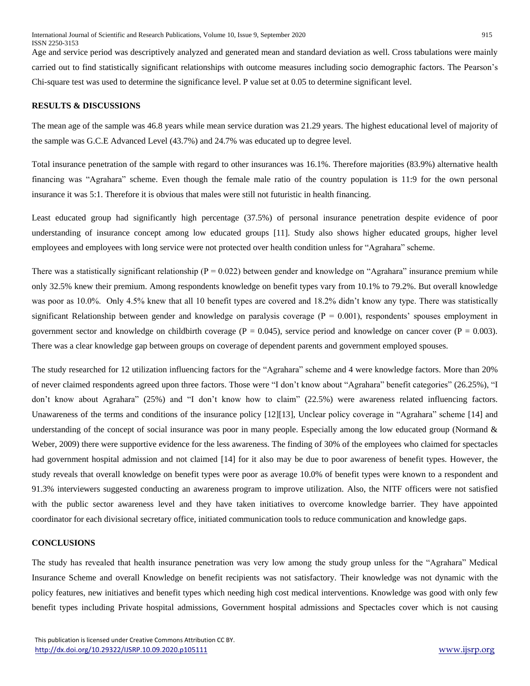Age and service period was descriptively analyzed and generated mean and standard deviation as well. Cross tabulations were mainly carried out to find statistically significant relationships with outcome measures including socio demographic factors. The Pearson's Chi-square test was used to determine the significance level. P value set at 0.05 to determine significant level.

## **RESULTS & DISCUSSIONS**

The mean age of the sample was 46.8 years while mean service duration was 21.29 years. The highest educational level of majority of the sample was G.C.E Advanced Level (43.7%) and 24.7% was educated up to degree level.

Total insurance penetration of the sample with regard to other insurances was 16.1%. Therefore majorities (83.9%) alternative health financing was "Agrahara" scheme. Even though the female male ratio of the country population is 11:9 for the own personal insurance it was 5:1. Therefore it is obvious that males were still not futuristic in health financing.

Least educated group had significantly high percentage (37.5%) of personal insurance penetration despite evidence of poor understanding of insurance concept among low educated groups [11]. Study also shows higher educated groups, higher level employees and employees with long service were not protected over health condition unless for "Agrahara" scheme.

There was a statistically significant relationship ( $P = 0.022$ ) between gender and knowledge on "Agrahara" insurance premium while only 32.5% knew their premium. Among respondents knowledge on benefit types vary from 10.1% to 79.2%. But overall knowledge was poor as 10.0%. Only 4.5% knew that all 10 benefit types are covered and 18.2% didn't know any type. There was statistically significant Relationship between gender and knowledge on paralysis coverage  $(P = 0.001)$ , respondents' spouses employment in government sector and knowledge on childbirth coverage ( $P = 0.045$ ), service period and knowledge on cancer cover ( $P = 0.003$ ). There was a clear knowledge gap between groups on coverage of dependent parents and government employed spouses.

The study researched for 12 utilization influencing factors for the "Agrahara" scheme and 4 were knowledge factors. More than 20% of never claimed respondents agreed upon three factors. Those were "I don't know about "Agrahara" benefit categories" (26.25%), "I don't know about Agrahara" (25%) and "I don't know how to claim" (22.5%) were awareness related influencing factors. Unawareness of the terms and conditions of the insurance policy [12][13], Unclear policy coverage in "Agrahara" scheme [14] and understanding of the concept of social insurance was poor in many people. Especially among the low educated group (Normand  $\&$ Weber, 2009) there were supportive evidence for the less awareness. The finding of 30% of the employees who claimed for spectacles had government hospital admission and not claimed [14] for it also may be due to poor awareness of benefit types. However, the study reveals that overall knowledge on benefit types were poor as average 10.0% of benefit types were known to a respondent and 91.3% interviewers suggested conducting an awareness program to improve utilization. Also, the NITF officers were not satisfied with the public sector awareness level and they have taken initiatives to overcome knowledge barrier. They have appointed coordinator for each divisional secretary office, initiated communication tools to reduce communication and knowledge gaps.

# **CONCLUSIONS**

The study has revealed that health insurance penetration was very low among the study group unless for the "Agrahara" Medical Insurance Scheme and overall Knowledge on benefit recipients was not satisfactory. Their knowledge was not dynamic with the policy features, new initiatives and benefit types which needing high cost medical interventions. Knowledge was good with only few benefit types including Private hospital admissions, Government hospital admissions and Spectacles cover which is not causing